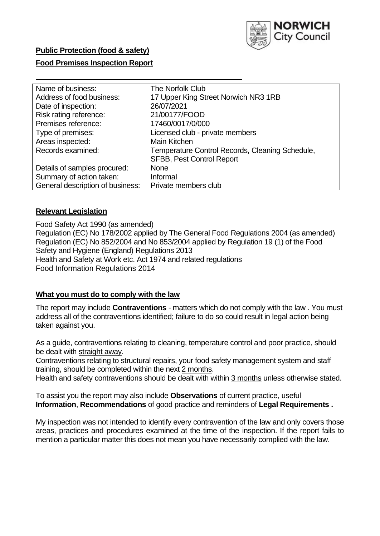

## **Public Protection (food & safety)**

## **Food Premises Inspection Report**

| Name of business:                | <b>The Norfolk Club</b>                         |
|----------------------------------|-------------------------------------------------|
| Address of food business:        | 17 Upper King Street Norwich NR3 1RB            |
| Date of inspection:              | 26/07/2021                                      |
| Risk rating reference:           | 21/00177/FOOD                                   |
| Premises reference:              | 17460/0017/0/000                                |
| Type of premises:                | Licensed club - private members                 |
| Areas inspected:                 | Main Kitchen                                    |
| Records examined:                | Temperature Control Records, Cleaning Schedule, |
|                                  | <b>SFBB, Pest Control Report</b>                |
| Details of samples procured:     | <b>None</b>                                     |
| Summary of action taken:         | Informal                                        |
| General description of business: | Private members club                            |

## **Relevant Legislation**

 Food Safety Act 1990 (as amended) Regulation (EC) No 178/2002 applied by The General Food Regulations 2004 (as amended) Regulation (EC) No 852/2004 and No 853/2004 applied by Regulation 19 (1) of the Food Safety and Hygiene (England) Regulations 2013 Health and Safety at Work etc. Act 1974 and related regulations Food Information Regulations 2014

## **What you must do to comply with the law**

 The report may include **Contraventions** - matters which do not comply with the law . You must address all of the contraventions identified; failure to do so could result in legal action being taken against you.

 As a guide, contraventions relating to cleaning, temperature control and poor practice, should be dealt with straight away.

 Contraventions relating to structural repairs, your food safety management system and staff training, should be completed within the next 2 months.

Health and safety contraventions should be dealt with within 3 months unless otherwise stated.

 To assist you the report may also include **Observations** of current practice, useful **Information**, **Recommendations** of good practice and reminders of **Legal Requirements .** 

 My inspection was not intended to identify every contravention of the law and only covers those areas, practices and procedures examined at the time of the inspection. If the report fails to mention a particular matter this does not mean you have necessarily complied with the law.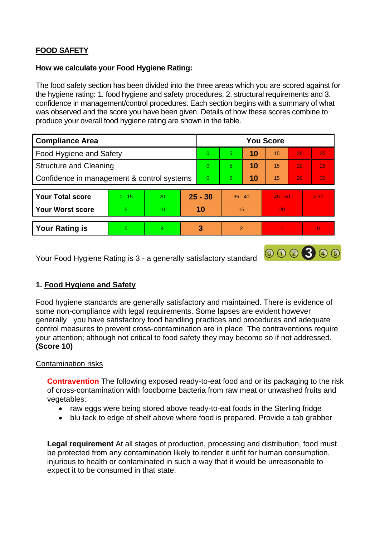# **FOOD SAFETY**

#### **How we calculate your Food Hygiene Rating:**

 The food safety section has been divided into the three areas which you are scored against for the hygiene rating: 1. food hygiene and safety procedures, 2. structural requirements and 3. confidence in management/control procedures. Each section begins with a summary of what was observed and the score you have been given. Details of how these scores combine to produce your overall food hygiene rating are shown in the table.

| <b>Compliance Area</b>                     |          |    |           | <b>You Score</b> |               |    |           |                 |                |  |  |
|--------------------------------------------|----------|----|-----------|------------------|---------------|----|-----------|-----------------|----------------|--|--|
| <b>Food Hygiene and Safety</b>             |          |    |           | $\Omega$         | 5             | 10 | 15        | 20              | 25             |  |  |
| <b>Structure and Cleaning</b>              |          |    | $\Omega$  | 5                | 10            | 15 | 20        | 25              |                |  |  |
| Confidence in management & control systems |          |    | $\Omega$  | 5                | 10            | 15 | 20        | 30 <sup>°</sup> |                |  |  |
|                                            |          |    |           |                  |               |    |           |                 |                |  |  |
| <b>Your Total score</b>                    | $0 - 15$ | 20 | $25 - 30$ |                  | $35 - 40$     |    | $45 - 50$ |                 | > 50           |  |  |
| <b>Your Worst score</b>                    | 5        | 10 | 10        |                  | 15            |    | 20        |                 |                |  |  |
|                                            |          |    |           |                  |               |    |           |                 |                |  |  |
| <b>Your Rating is</b>                      | 5        | 4  |           | 3                | $\mathcal{P}$ |    |           |                 | $\overline{0}$ |  |  |

Your Food Hygiene Rating is 3 - a generally satisfactory standard

## **1. Food Hygiene and Safety**

 generally you have satisfactory food handling practices and procedures and adequate Food hygiene standards are generally satisfactory and maintained. There is evidence of some non-compliance with legal requirements. Some lapses are evident however control measures to prevent cross-contamination are in place. The contraventions require your attention; although not critical to food safety they may become so if not addressed. **(Score 10)** 

000300

## Contamination risks

**Contravention** The following exposed ready-to-eat food and or its packaging to the risk of cross-contamination with foodborne bacteria from raw meat or unwashed fruits and vegetables:

- raw eggs were being stored above ready-to-eat foods in the Sterling fridge
- blu tack to edge of shelf above where food is prepared. Provide a tab grabber

 injurious to health or contaminated in such a way that it would be unreasonable to **Legal requirement** At all stages of production, processing and distribution, food must be protected from any contamination likely to render it unfit for human consumption, expect it to be consumed in that state.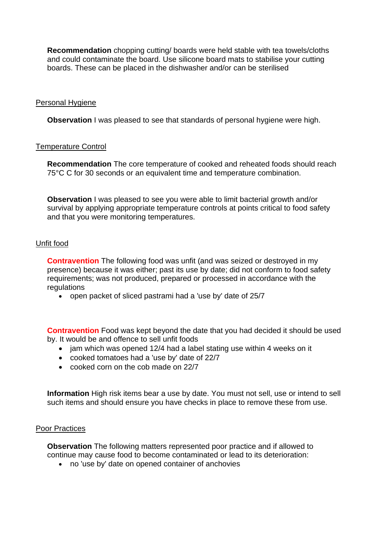**Recommendation** chopping cutting/ boards were held stable with tea towels/cloths and could contaminate the board. Use silicone board mats to stabilise your cutting boards. These can be placed in the dishwasher and/or can be sterilised

#### Personal Hygiene

**Observation** I was pleased to see that standards of personal hygiene were high.

#### Temperature Control

 75°C C for 30 seconds or an equivalent time and temperature combination. **Recommendation** The core temperature of cooked and reheated foods should reach

**Observation** I was pleased to see you were able to limit bacterial growth and/or survival by applying appropriate temperature controls at points critical to food safety and that you were monitoring temperatures.

## Unfit food

**Contravention** The following food was unfit (and was seized or destroyed in my presence) because it was either; past its use by date; did not conform to food safety requirements; was not produced, prepared or processed in accordance with the regulations

• open packet of sliced pastrami had a 'use by' date of 25/7

**Contravention** Food was kept beyond the date that you had decided it should be used by. It would be and offence to sell unfit foods

- jam which was opened 12/4 had a label stating use within 4 weeks on it
- cooked tomatoes had a 'use by' date of 22/7
- cooked corn on the cob made on 22/7

**Information** High risk items bear a use by date. You must not sell, use or intend to sell such items and should ensure you have checks in place to remove these from use.

#### Poor Practices

 **Observation** The following matters represented poor practice and if allowed to continue may cause food to become contaminated or lead to its deterioration:

• no 'use by' date on opened container of anchovies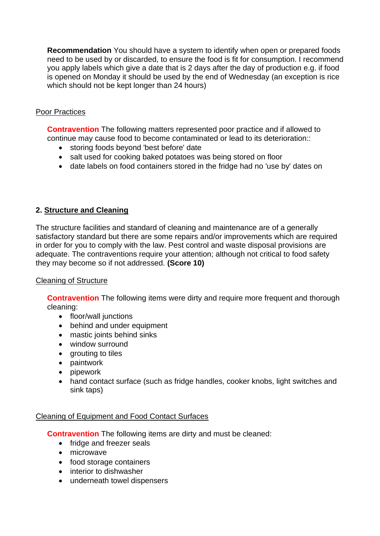**Recommendation** You should have a system to identify when open or prepared foods need to be used by or discarded, to ensure the food is fit for consumption. I recommend you apply labels which give a date that is 2 days after the day of production e.g. if food is opened on Monday it should be used by the end of Wednesday (an exception is rice which should not be kept longer than 24 hours)

## Poor Practices

 **Contravention** The following matters represented poor practice and if allowed to continue may cause food to become contaminated or lead to its deterioration::

- storing foods beyond 'best before' date
- salt used for cooking baked potatoes was being stored on floor
- date labels on food containers stored in the fridge had no 'use by' dates on

## **2. Structure and Cleaning**

The structure facilities and standard of cleaning and maintenance are of a generally satisfactory standard but there are some repairs and/or improvements which are required in order for you to comply with the law. Pest control and waste disposal provisions are adequate. The contraventions require your attention; although not critical to food safety they may become so if not addressed. **(Score 10)** 

## Cleaning of Structure

**Contravention** The following items were dirty and require more frequent and thorough cleaning:

- floor/wall junctions
- behind and under equipment
- mastic joints behind sinks
- window surround
- grouting to tiles
- paintwork
- pipework
- hand contact surface (such as fridge handles, cooker knobs, light switches and sink taps)

## Cleaning of Equipment and Food Contact Surfaces

**Contravention** The following items are dirty and must be cleaned:

- fridge and freezer seals
- microwave
- food storage containers
- interior to dishwasher
- underneath towel dispensers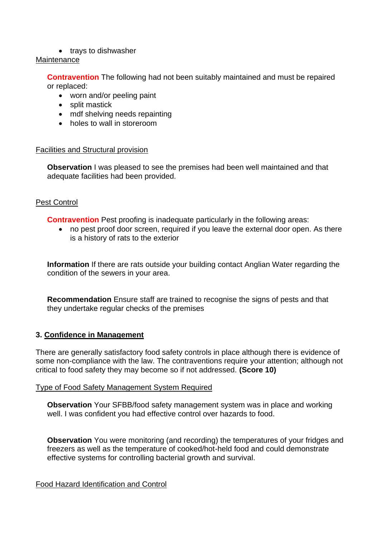#### • trays to dishwasher

#### **Maintenance**

**Contravention** The following had not been suitably maintained and must be repaired or replaced:

- worn and/or peeling paint
- split mastick
- mdf shelving needs repainting
- holes to wall in storeroom

#### Facilities and Structural provision

 **Observation** I was pleased to see the premises had been well maintained and that adequate facilities had been provided.

## Pest Control

**Contravention** Pest proofing is inadequate particularly in the following areas:

• no pest proof door screen, required if you leave the external door open. As there is a history of rats to the exterior

**Information** If there are rats outside your building contact Anglian Water regarding the condition of the sewers in your area.

**Recommendation** Ensure staff are trained to recognise the signs of pests and that they undertake regular checks of the premises

## **3. Confidence in Management**

 There are generally satisfactory food safety controls in place although there is evidence of some non-compliance with the law. The contraventions require your attention; although not critical to food safety they may become so if not addressed. **(Score 10)** 

## Type of Food Safety Management System Required

**Observation** Your SFBB/food safety management system was in place and working well. I was confident you had effective control over hazards to food.

**Observation** You were monitoring (and recording) the temperatures of your fridges and freezers as well as the temperature of cooked/hot-held food and could demonstrate effective systems for controlling bacterial growth and survival.

## Food Hazard Identification and Control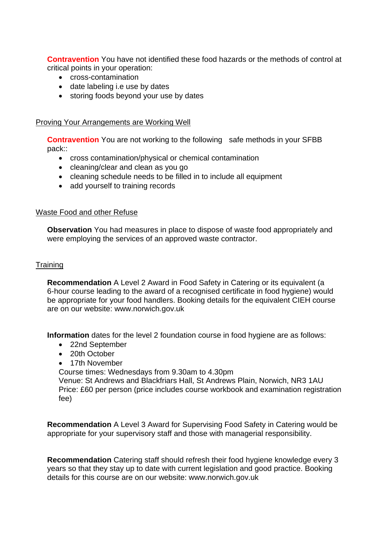**Contravention** You have not identified these food hazards or the methods of control at critical points in your operation:

- cross-contamination
- date labeling i.e use by dates
- storing foods beyond your use by dates

Proving Your Arrangements are Working Well

**Contravention** You are not working to the following safe methods in your SFBB pack::

- cross contamination/physical or chemical contamination
- cleaning/clear and clean as you go
- cleaning schedule needs to be filled in to include all equipment
- add vourself to training records

#### Waste Food and other Refuse

 **Observation** You had measures in place to dispose of waste food appropriately and were employing the services of an approved waste contractor.

#### **Training**

**Recommendation** A Level 2 Award in Food Safety in Catering or its equivalent (a 6-hour course leading to the award of a recognised certificate in food hygiene) would be appropriate for your food handlers. Booking details for the equivalent CIEH course are on our website: <www.norwich.gov.uk>

**Information** dates for the level 2 foundation course in food hygiene are as follows:

- 22nd September
- 20th October
- 17th November

Course times: Wednesdays from 9.30am to 4.30pm

Venue: St Andrews and Blackfriars Hall, St Andrews Plain, Norwich, NR3 1AU Price: £60 per person (price includes course workbook and examination registration fee)

**Recommendation** A Level 3 Award for Supervising Food Safety in Catering would be appropriate for your supervisory staff and those with managerial responsibility.

**Recommendation** Catering staff should refresh their food hygiene knowledge every 3 years so that they stay up to date with current legislation and good practice. Booking details for this course are on our website:<www.norwich.gov.uk>